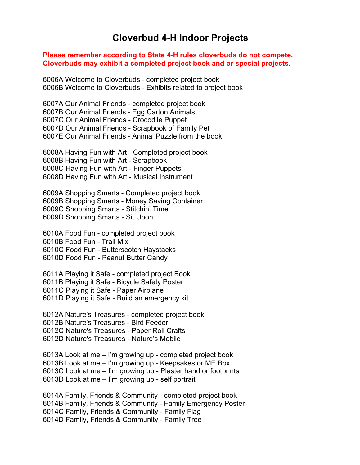## **Cloverbud 4-H Indoor Projects**

## **Please remember according to State 4-H rules cloverbuds do not compete. Cloverbuds may exhibit a completed project book and or special projects.**

6006A Welcome to Cloverbuds - completed project book 6006B Welcome to Cloverbuds - Exhibits related to project book

6007A Our Animal Friends - completed project book 6007B Our Animal Friends - Egg Carton Animals 6007C Our Animal Friends - Crocodile Puppet 6007D Our Animal Friends - Scrapbook of Family Pet 6007E Our Animal Friends - Animal Puzzle from the book

6008A Having Fun with Art - Completed project book 6008B Having Fun with Art - Scrapbook 6008C Having Fun with Art - Finger Puppets 6008D Having Fun with Art - Musical Instrument

6009A Shopping Smarts - Completed project book 6009B Shopping Smarts - Money Saving Container 6009C Shopping Smarts - Stitchin' Time 6009D Shopping Smarts - Sit Upon

6010A Food Fun - completed project book 6010B Food Fun - Trail Mix 6010C Food Fun - Butterscotch Haystacks 6010D Food Fun - Peanut Butter Candy

6011A Playing it Safe - completed project Book 6011B Playing it Safe - Bicycle Safety Poster 6011C Playing it Safe - Paper Airplane 6011D Playing it Safe - Build an emergency kit

6012A Nature's Treasures - completed project book 6012B Nature's Treasures - Bird Feeder 6012C Nature's Treasures - Paper Roll Crafts 6012D Nature's Treasures - Nature's Mobile

6013A Look at me – I'm growing up - completed project book 6013B Look at me – I'm growing up - Keepsakes or ME Box 6013C Look at me – I'm growing up - Plaster hand or footprints 6013D Look at me – I'm growing up - self portrait

6014A Family, Friends & Community - completed project book 6014B Family, Friends & Community - Family Emergency Poster 6014C Family, Friends & Community - Family Flag 6014D Family, Friends & Community - Family Tree